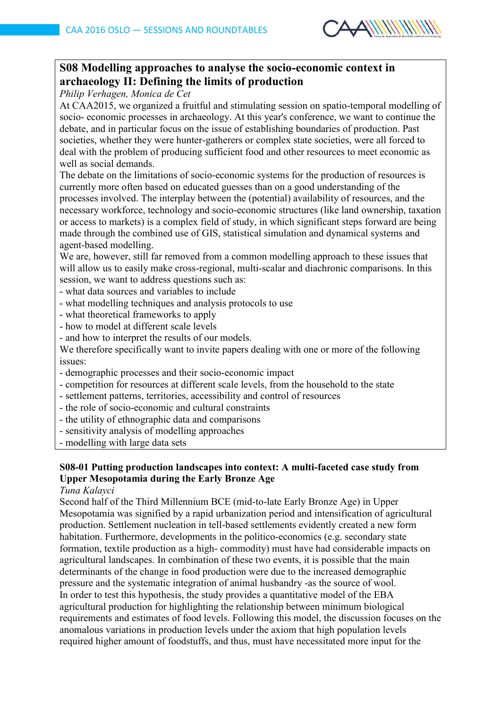

# **S08 Modelling approaches to analyse the socio-economic context in archaeology II: Defining the limits of production**

*Philip Verhagen, Monica de Cet*

At CAA2015, we organized a fruitful and stimulating session on spatio-temporal modelling of socio- economic processes in archaeology. At this year's conference, we want to continue the debate, and in particular focus on the issue of establishing boundaries of production. Past societies, whether they were hunter-gatherers or complex state societies, were all forced to deal with the problem of producing sufficient food and other resources to meet economic as well as social demands.

The debate on the limitations of socio-economic systems for the production of resources is currently more often based on educated guesses than on a good understanding of the processes involved. The interplay between the (potential) availability of resources, and the necessary workforce, technology and socio-economic structures (like land ownership, taxation or access to markets) is a complex field of study, in which significant steps forward are being made through the combined use of GIS, statistical simulation and dynamical systems and agent-based modelling.

We are, however, still far removed from a common modelling approach to these issues that will allow us to easily make cross-regional, multi-scalar and diachronic comparisons. In this session, we want to address questions such as:

- what data sources and variables to include
- what modelling techniques and analysis protocols to use
- what theoretical frameworks to apply
- how to model at different scale levels
- and how to interpret the results of our models.

We therefore specifically want to invite papers dealing with one or more of the following issues:

- demographic processes and their socio-economic impact
- competition for resources at different scale levels, from the household to the state
- settlement patterns, territories, accessibility and control of resources
- the role of socio-economic and cultural constraints
- the utility of ethnographic data and comparisons
- sensitivity analysis of modelling approaches
- modelling with large data sets

# **S08-01 Putting production landscapes into context: A multi-faceted case study from Upper Mesopotamia during the Early Bronze Age**

### *Tuna Kalayci*

Second half of the Third Millennium BCE (mid-to-late Early Bronze Age) in Upper Mesopotamia was signified by a rapid urbanization period and intensification of agricultural production. Settlement nucleation in tell-based settlements evidently created a new form habitation. Furthermore, developments in the politico-economics (e.g. secondary state formation, textile production as a high- commodity) must have had considerable impacts on agricultural landscapes. In combination of these two events, it is possible that the main determinants of the change in food production were due to the increased demographic pressure and the systematic integration of animal husbandry -as the source of wool. In order to test this hypothesis, the study provides a quantitative model of the EBA agricultural production for highlighting the relationship between minimum biological requirements and estimates of food levels. Following this model, the discussion focuses on the anomalous variations in production levels under the axiom that high population levels required higher amount of foodstuffs, and thus, must have necessitated more input for the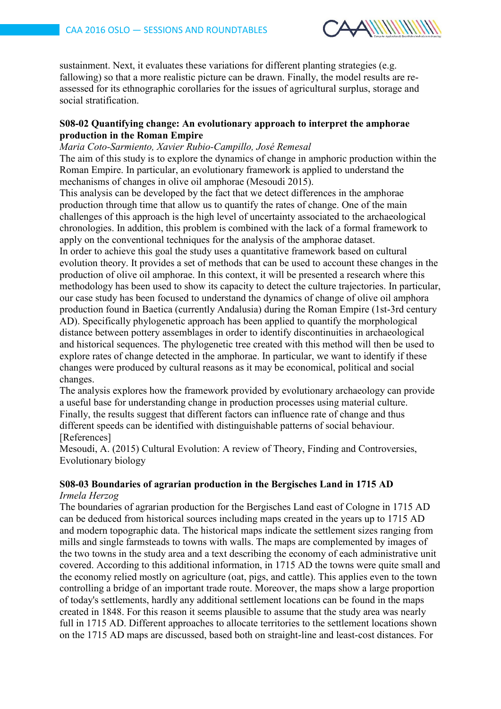

sustainment. Next, it evaluates these variations for different planting strategies (e.g. fallowing) so that a more realistic picture can be drawn. Finally, the model results are reassessed for its ethnographic corollaries for the issues of agricultural surplus, storage and social stratification.

# **S08-02 Quantifying change: An evolutionary approach to interpret the amphorae production in the Roman Empire**

### *Maria Coto-Sarmiento, Xavier Rubio-Campillo, José Remesal*

The aim of this study is to explore the dynamics of change in amphoric production within the Roman Empire. In particular, an evolutionary framework is applied to understand the mechanisms of changes in olive oil amphorae (Mesoudi 2015).

This analysis can be developed by the fact that we detect differences in the amphorae production through time that allow us to quantify the rates of change. One of the main challenges of this approach is the high level of uncertainty associated to the archaeological chronologies. In addition, this problem is combined with the lack of a formal framework to apply on the conventional techniques for the analysis of the amphorae dataset.

In order to achieve this goal the study uses a quantitative framework based on cultural evolution theory. It provides a set of methods that can be used to account these changes in the production of olive oil amphorae. In this context, it will be presented a research where this methodology has been used to show its capacity to detect the culture trajectories. In particular, our case study has been focused to understand the dynamics of change of olive oil amphora production found in Baetica (currently Andalusia) during the Roman Empire (1st-3rd century AD). Specifically phylogenetic approach has been applied to quantify the morphological distance between pottery assemblages in order to identify discontinuities in archaeological and historical sequences. The phylogenetic tree created with this method will then be used to explore rates of change detected in the amphorae. In particular, we want to identify if these changes were produced by cultural reasons as it may be economical, political and social changes.

The analysis explores how the framework provided by evolutionary archaeology can provide a useful base for understanding change in production processes using material culture. Finally, the results suggest that different factors can influence rate of change and thus different speeds can be identified with distinguishable patterns of social behaviour. [References]

Mesoudi, A. (2015) Cultural Evolution: A review of Theory, Finding and Controversies, Evolutionary biology

# **S08-03 Boundaries of agrarian production in the Bergisches Land in 1715 AD**

## *Irmela Herzog*

The boundaries of agrarian production for the Bergisches Land east of Cologne in 1715 AD can be deduced from historical sources including maps created in the years up to 1715 AD and modern topographic data. The historical maps indicate the settlement sizes ranging from mills and single farmsteads to towns with walls. The maps are complemented by images of the two towns in the study area and a text describing the economy of each administrative unit covered. According to this additional information, in 1715 AD the towns were quite small and the economy relied mostly on agriculture (oat, pigs, and cattle). This applies even to the town controlling a bridge of an important trade route. Moreover, the maps show a large proportion of today's settlements, hardly any additional settlement locations can be found in the maps created in 1848. For this reason it seems plausible to assume that the study area was nearly full in 1715 AD. Different approaches to allocate territories to the settlement locations shown on the 1715 AD maps are discussed, based both on straight-line and least-cost distances. For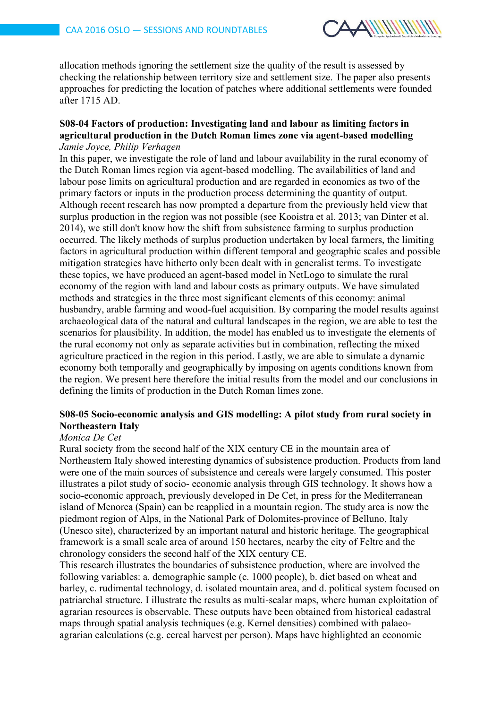

allocation methods ignoring the settlement size the quality of the result is assessed by checking the relationship between territory size and settlement size. The paper also presents approaches for predicting the location of patches where additional settlements were founded after 1715 AD.

#### **S08-04 Factors of production: Investigating land and labour as limiting factors in agricultural production in the Dutch Roman limes zone via agent-based modelling** *Jamie Joyce, Philip Verhagen*

In this paper, we investigate the role of land and labour availability in the rural economy of the Dutch Roman limes region via agent-based modelling. The availabilities of land and labour pose limits on agricultural production and are regarded in economics as two of the primary factors or inputs in the production process determining the quantity of output. Although recent research has now prompted a departure from the previously held view that surplus production in the region was not possible (see Kooistra et al. 2013; van Dinter et al. 2014), we still don't know how the shift from subsistence farming to surplus production occurred. The likely methods of surplus production undertaken by local farmers, the limiting factors in agricultural production within different temporal and geographic scales and possible mitigation strategies have hitherto only been dealt with in generalist terms. To investigate these topics, we have produced an agent-based model in NetLogo to simulate the rural economy of the region with land and labour costs as primary outputs. We have simulated methods and strategies in the three most significant elements of this economy: animal husbandry, arable farming and wood-fuel acquisition. By comparing the model results against archaeological data of the natural and cultural landscapes in the region, we are able to test the scenarios for plausibility. In addition, the model has enabled us to investigate the elements of the rural economy not only as separate activities but in combination, reflecting the mixed agriculture practiced in the region in this period. Lastly, we are able to simulate a dynamic economy both temporally and geographically by imposing on agents conditions known from the region. We present here therefore the initial results from the model and our conclusions in defining the limits of production in the Dutch Roman limes zone.

# **S08-05 Socio-economic analysis and GIS modelling: A pilot study from rural society in Northeastern Italy**

## *Monica De Cet*

Rural society from the second half of the XIX century CE in the mountain area of Northeastern Italy showed interesting dynamics of subsistence production. Products from land were one of the main sources of subsistence and cereals were largely consumed. This poster illustrates a pilot study of socio- economic analysis through GIS technology. It shows how a socio-economic approach, previously developed in De Cet, in press for the Mediterranean island of Menorca (Spain) can be reapplied in a mountain region. The study area is now the piedmont region of Alps, in the National Park of Dolomites-province of Belluno, Italy (Unesco site), characterized by an important natural and historic heritage. The geographical framework is a small scale area of around 150 hectares, nearby the city of Feltre and the chronology considers the second half of the XIX century CE.

This research illustrates the boundaries of subsistence production, where are involved the following variables: a. demographic sample (c. 1000 people), b. diet based on wheat and barley, c. rudimental technology, d. isolated mountain area, and d. political system focused on patriarchal structure. I illustrate the results as multi-scalar maps, where human exploitation of agrarian resources is observable. These outputs have been obtained from historical cadastral maps through spatial analysis techniques (e.g. Kernel densities) combined with palaeoagrarian calculations (e.g. cereal harvest per person). Maps have highlighted an economic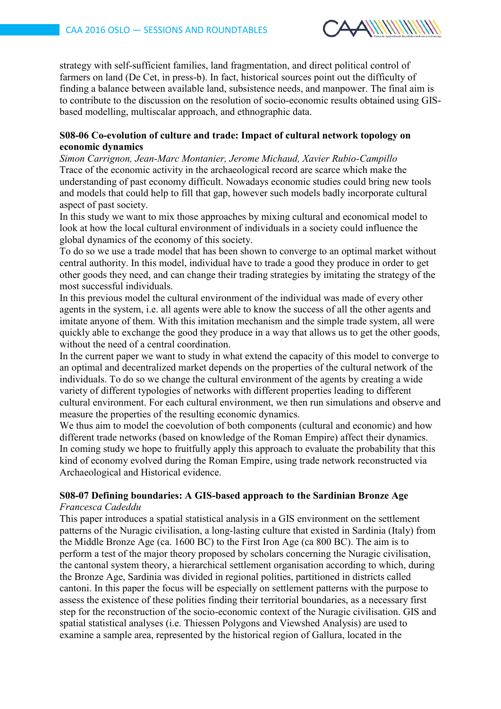

strategy with self-sufficient families, land fragmentation, and direct political control of farmers on land (De Cet, in press-b). In fact, historical sources point out the difficulty of finding a balance between available land, subsistence needs, and manpower. The final aim is to contribute to the discussion on the resolution of socio-economic results obtained using GISbased modelling, multiscalar approach, and ethnographic data.

### **S08-06 Co-evolution of culture and trade: Impact of cultural network topology on economic dynamics**

*Simon Carrignon, Jean-Marc Montanier, Jerome Michaud, Xavier Rubio-Campillo* Trace of the economic activity in the archaeological record are scarce which make the understanding of past economy difficult. Nowadays economic studies could bring new tools and models that could help to fill that gap, however such models badly incorporate cultural aspect of past society.

In this study we want to mix those approaches by mixing cultural and economical model to look at how the local cultural environment of individuals in a society could influence the global dynamics of the economy of this society.

To do so we use a trade model that has been shown to converge to an optimal market without central authority. In this model, individual have to trade a good they produce in order to get other goods they need, and can change their trading strategies by imitating the strategy of the most successful individuals.

In this previous model the cultural environment of the individual was made of every other agents in the system, i.e. all agents were able to know the success of all the other agents and imitate anyone of them. With this imitation mechanism and the simple trade system, all were quickly able to exchange the good they produce in a way that allows us to get the other goods, without the need of a central coordination.

In the current paper we want to study in what extend the capacity of this model to converge to an optimal and decentralized market depends on the properties of the cultural network of the individuals. To do so we change the cultural environment of the agents by creating a wide variety of different typologies of networks with different properties leading to different cultural environment. For each cultural environment, we then run simulations and observe and measure the properties of the resulting economic dynamics.

We thus aim to model the coevolution of both components (cultural and economic) and how different trade networks (based on knowledge of the Roman Empire) affect their dynamics. In coming study we hope to fruitfully apply this approach to evaluate the probability that this kind of economy evolved during the Roman Empire, using trade network reconstructed via Archaeological and Historical evidence.

#### **S08-07 Defining boundaries: A GIS-based approach to the Sardinian Bronze Age** *Francesca Cadeddu*

This paper introduces a spatial statistical analysis in a GIS environment on the settlement patterns of the Nuragic civilisation, a long-lasting culture that existed in Sardinia (Italy) from the Middle Bronze Age (ca. 1600 BC) to the First Iron Age (ca 800 BC). The aim is to perform a test of the major theory proposed by scholars concerning the Nuragic civilisation, the cantonal system theory, a hierarchical settlement organisation according to which, during the Bronze Age, Sardinia was divided in regional polities, partitioned in districts called cantoni. In this paper the focus will be especially on settlement patterns with the purpose to assess the existence of these polities finding their territorial boundaries, as a necessary first step for the reconstruction of the socio-economic context of the Nuragic civilisation. GIS and spatial statistical analyses (i.e. Thiessen Polygons and Viewshed Analysis) are used to examine a sample area, represented by the historical region of Gallura, located in the